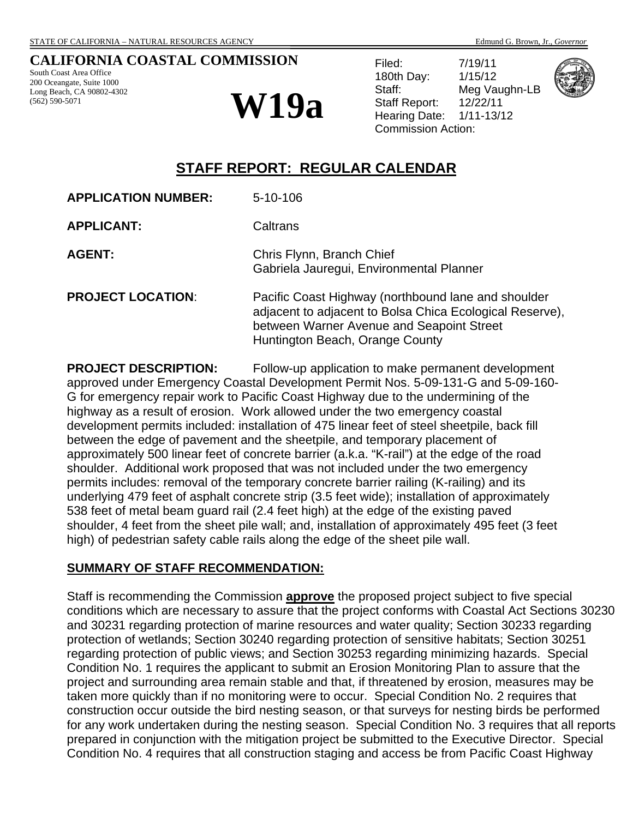#### **CALIFORNIA COASTAL COMMISSION**

South Coast Area Office 200 Oceangate, Suite 1000 Long Beach, CA 90802-4302 (562) 590-5071

# $W19a$  Staff Report:

Filed: 7/19/11 180th Day: 1/15/12 Staff: Meg Vaughn-LB Staff Report: 12/22/11<br>Hearing Date: 1/11-13/12 Commission Action:



## **STAFF REPORT: REGULAR CALENDAR**

| <b>APPLICATION NUMBER:</b> | $5 - 10 - 106$                                                                                                                                                                                  |
|----------------------------|-------------------------------------------------------------------------------------------------------------------------------------------------------------------------------------------------|
| <b>APPLICANT:</b>          | Caltrans                                                                                                                                                                                        |
| <b>AGENT:</b>              | Chris Flynn, Branch Chief<br>Gabriela Jauregui, Environmental Planner                                                                                                                           |
| <b>PROJECT LOCATION:</b>   | Pacific Coast Highway (northbound lane and shoulder<br>adjacent to adjacent to Bolsa Chica Ecological Reserve),<br>between Warner Avenue and Seapoint Street<br>Huntington Beach, Orange County |

**PROJECT DESCRIPTION:** Follow-up application to make permanent development approved under Emergency Coastal Development Permit Nos. 5-09-131-G and 5-09-160- G for emergency repair work to Pacific Coast Highway due to the undermining of the highway as a result of erosion. Work allowed under the two emergency coastal development permits included: installation of 475 linear feet of steel sheetpile, back fill between the edge of pavement and the sheetpile, and temporary placement of approximately 500 linear feet of concrete barrier (a.k.a. "K-rail") at the edge of the road shoulder. Additional work proposed that was not included under the two emergency permits includes: removal of the temporary concrete barrier railing (K-railing) and its underlying 479 feet of asphalt concrete strip (3.5 feet wide); installation of approximately 538 feet of metal beam guard rail (2.4 feet high) at the edge of the existing paved shoulder, 4 feet from the sheet pile wall; and, installation of approximately 495 feet (3 feet high) of pedestrian safety cable rails along the edge of the sheet pile wall.

#### **SUMMARY OF STAFF RECOMMENDATION:**

Staff is recommending the Commission **approve** the proposed project subject to five special conditions which are necessary to assure that the project conforms with Coastal Act Sections 30230 and 30231 regarding protection of marine resources and water quality; Section 30233 regarding protection of wetlands; Section 30240 regarding protection of sensitive habitats; Section 30251 regarding protection of public views; and Section 30253 regarding minimizing hazards. Special Condition No. 1 requires the applicant to submit an Erosion Monitoring Plan to assure that the project and surrounding area remain stable and that, if threatened by erosion, measures may be taken more quickly than if no monitoring were to occur. Special Condition No. 2 requires that construction occur outside the bird nesting season, or that surveys for nesting birds be performed for any work undertaken during the nesting season. Special Condition No. 3 requires that all reports prepared in conjunction with the mitigation project be submitted to the Executive Director. Special Condition No. 4 requires that all construction staging and access be from Pacific Coast Highway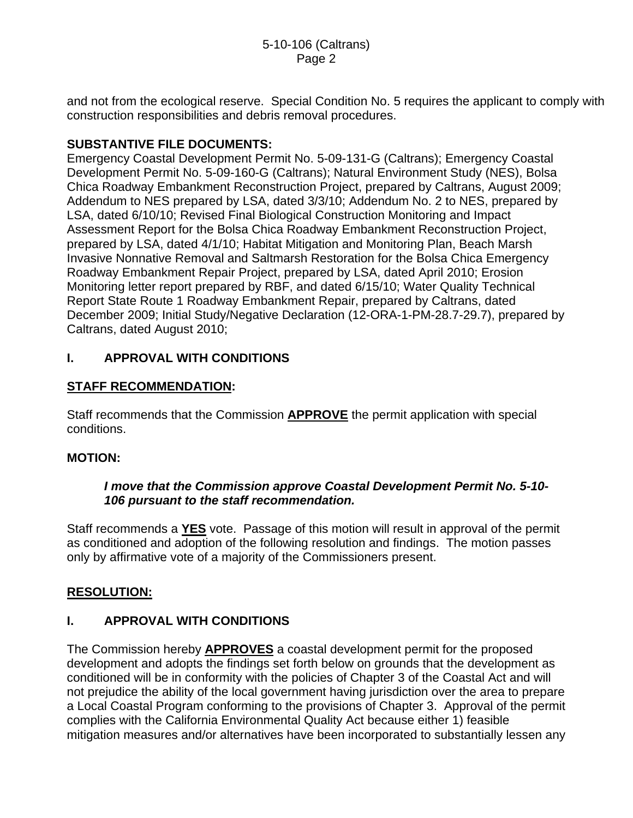and not from the ecological reserve. Special Condition No. 5 requires the applicant to comply with construction responsibilities and debris removal procedures.

## **SUBSTANTIVE FILE DOCUMENTS:**

Emergency Coastal Development Permit No. 5-09-131-G (Caltrans); Emergency Coastal Development Permit No. 5-09-160-G (Caltrans); Natural Environment Study (NES), Bolsa Chica Roadway Embankment Reconstruction Project, prepared by Caltrans, August 2009; Addendum to NES prepared by LSA, dated 3/3/10; Addendum No. 2 to NES, prepared by LSA, dated 6/10/10; Revised Final Biological Construction Monitoring and Impact Assessment Report for the Bolsa Chica Roadway Embankment Reconstruction Project, prepared by LSA, dated 4/1/10; Habitat Mitigation and Monitoring Plan, Beach Marsh Invasive Nonnative Removal and Saltmarsh Restoration for the Bolsa Chica Emergency Roadway Embankment Repair Project, prepared by LSA, dated April 2010; Erosion Monitoring letter report prepared by RBF, and dated 6/15/10; Water Quality Technical Report State Route 1 Roadway Embankment Repair, prepared by Caltrans, dated December 2009; Initial Study/Negative Declaration (12-ORA-1-PM-28.7-29.7), prepared by Caltrans, dated August 2010;

## **I. APPROVAL WITH CONDITIONS**

## **STAFF RECOMMENDATION:**

Staff recommends that the Commission **APPROVE** the permit application with special conditions.

## **MOTION:**

## *I move that the Commission approve Coastal Development Permit No. 5-10- 106 pursuant to the staff recommendation.*

Staff recommends a **YES** vote. Passage of this motion will result in approval of the permit as conditioned and adoption of the following resolution and findings. The motion passes only by affirmative vote of a majority of the Commissioners present.

## **RESOLUTION:**

## **I. APPROVAL WITH CONDITIONS**

The Commission hereby **APPROVES** a coastal development permit for the proposed development and adopts the findings set forth below on grounds that the development as conditioned will be in conformity with the policies of Chapter 3 of the Coastal Act and will not prejudice the ability of the local government having jurisdiction over the area to prepare a Local Coastal Program conforming to the provisions of Chapter 3. Approval of the permit complies with the California Environmental Quality Act because either 1) feasible mitigation measures and/or alternatives have been incorporated to substantially lessen any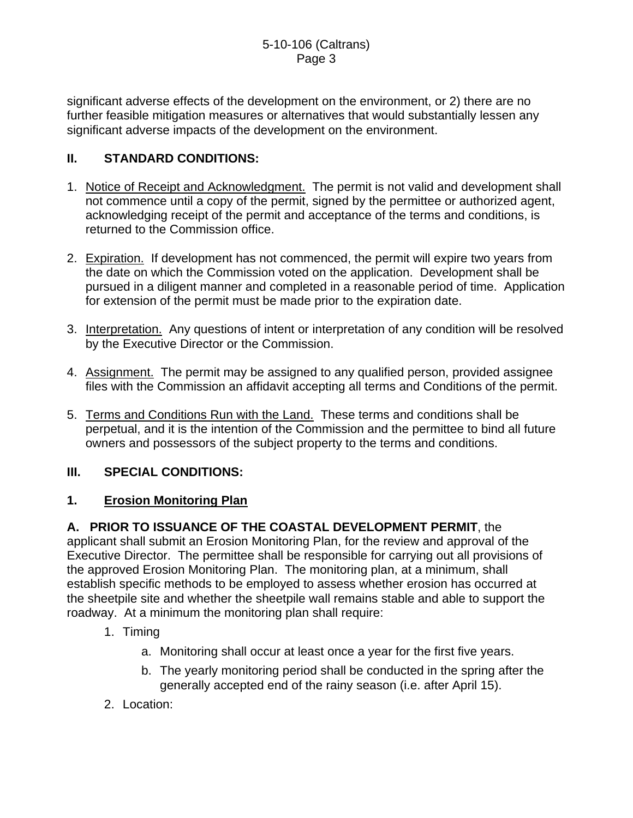significant adverse effects of the development on the environment, or 2) there are no further feasible mitigation measures or alternatives that would substantially lessen any significant adverse impacts of the development on the environment.

## **II. STANDARD CONDITIONS:**

- 1. Notice of Receipt and Acknowledgment. The permit is not valid and development shall not commence until a copy of the permit, signed by the permittee or authorized agent, acknowledging receipt of the permit and acceptance of the terms and conditions, is returned to the Commission office.
- 2. Expiration. If development has not commenced, the permit will expire two years from the date on which the Commission voted on the application. Development shall be pursued in a diligent manner and completed in a reasonable period of time. Application for extension of the permit must be made prior to the expiration date.
- 3. Interpretation. Any questions of intent or interpretation of any condition will be resolved by the Executive Director or the Commission.
- 4. Assignment. The permit may be assigned to any qualified person, provided assignee files with the Commission an affidavit accepting all terms and Conditions of the permit.
- 5. Terms and Conditions Run with the Land. These terms and conditions shall be perpetual, and it is the intention of the Commission and the permittee to bind all future owners and possessors of the subject property to the terms and conditions.

## **III. SPECIAL CONDITIONS:**

## **1. Erosion Monitoring Plan**

**A. PRIOR TO ISSUANCE OF THE COASTAL DEVELOPMENT PERMIT**, the applicant shall submit an Erosion Monitoring Plan, for the review and approval of the Executive Director. The permittee shall be responsible for carrying out all provisions of the approved Erosion Monitoring Plan. The monitoring plan, at a minimum, shall establish specific methods to be employed to assess whether erosion has occurred at the sheetpile site and whether the sheetpile wall remains stable and able to support the roadway. At a minimum the monitoring plan shall require:

- 1. Timing
	- a. Monitoring shall occur at least once a year for the first five years.
	- b. The yearly monitoring period shall be conducted in the spring after the generally accepted end of the rainy season (i.e. after April 15).
- 2. Location: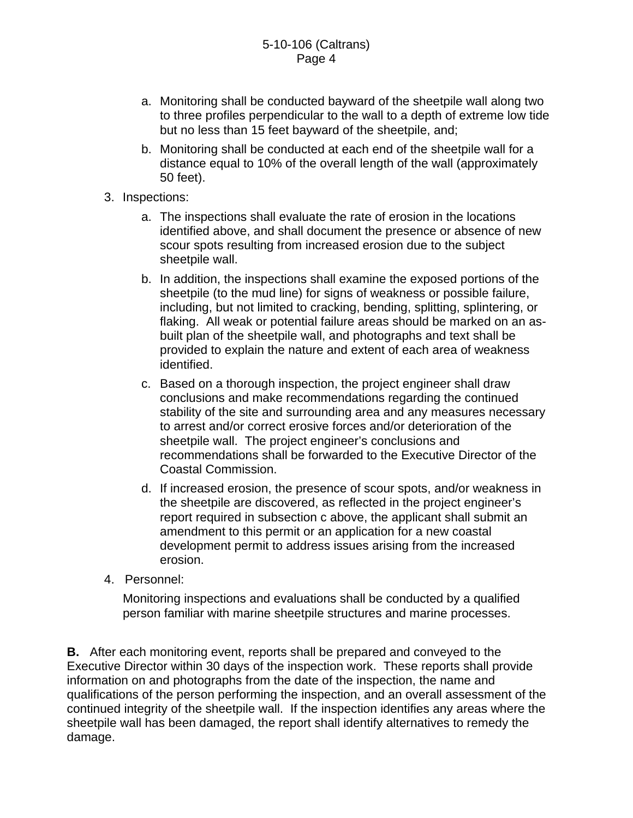- a. Monitoring shall be conducted bayward of the sheetpile wall along two to three profiles perpendicular to the wall to a depth of extreme low tide but no less than 15 feet bayward of the sheetpile, and;
- b. Monitoring shall be conducted at each end of the sheetpile wall for a distance equal to 10% of the overall length of the wall (approximately 50 feet).
- 3. Inspections:
	- a. The inspections shall evaluate the rate of erosion in the locations identified above, and shall document the presence or absence of new scour spots resulting from increased erosion due to the subject sheetpile wall.
	- b. In addition, the inspections shall examine the exposed portions of the sheetpile (to the mud line) for signs of weakness or possible failure, including, but not limited to cracking, bending, splitting, splintering, or flaking. All weak or potential failure areas should be marked on an asbuilt plan of the sheetpile wall, and photographs and text shall be provided to explain the nature and extent of each area of weakness identified.
	- c. Based on a thorough inspection, the project engineer shall draw conclusions and make recommendations regarding the continued stability of the site and surrounding area and any measures necessary to arrest and/or correct erosive forces and/or deterioration of the sheetpile wall. The project engineer's conclusions and recommendations shall be forwarded to the Executive Director of the Coastal Commission.
	- d. If increased erosion, the presence of scour spots, and/or weakness in the sheetpile are discovered, as reflected in the project engineer's report required in subsection c above, the applicant shall submit an amendment to this permit or an application for a new coastal development permit to address issues arising from the increased erosion.
- 4. Personnel:

Monitoring inspections and evaluations shall be conducted by a qualified person familiar with marine sheetpile structures and marine processes.

**B.** After each monitoring event, reports shall be prepared and conveyed to the Executive Director within 30 days of the inspection work. These reports shall provide information on and photographs from the date of the inspection, the name and qualifications of the person performing the inspection, and an overall assessment of the continued integrity of the sheetpile wall. If the inspection identifies any areas where the sheetpile wall has been damaged, the report shall identify alternatives to remedy the damage.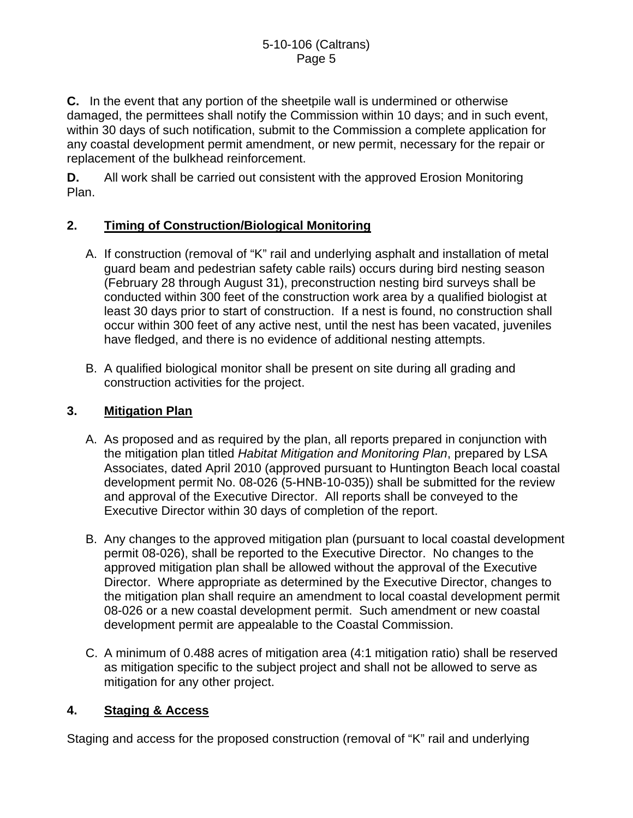**C.** In the event that any portion of the sheetpile wall is undermined or otherwise damaged, the permittees shall notify the Commission within 10 days; and in such event, within 30 days of such notification, submit to the Commission a complete application for any coastal development permit amendment, or new permit, necessary for the repair or replacement of the bulkhead reinforcement.

**D.** All work shall be carried out consistent with the approved Erosion Monitoring Plan.

## **2. Timing of Construction/Biological Monitoring**

- A. If construction (removal of "K" rail and underlying asphalt and installation of metal guard beam and pedestrian safety cable rails) occurs during bird nesting season (February 28 through August 31), preconstruction nesting bird surveys shall be conducted within 300 feet of the construction work area by a qualified biologist at least 30 days prior to start of construction. If a nest is found, no construction shall occur within 300 feet of any active nest, until the nest has been vacated, juveniles have fledged, and there is no evidence of additional nesting attempts.
- B. A qualified biological monitor shall be present on site during all grading and construction activities for the project.

## **3. Mitigation Plan**

- A. As proposed and as required by the plan, all reports prepared in conjunction with the mitigation plan titled *Habitat Mitigation and Monitoring Plan*, prepared by LSA Associates, dated April 2010 (approved pursuant to Huntington Beach local coastal development permit No. 08-026 (5-HNB-10-035)) shall be submitted for the review and approval of the Executive Director. All reports shall be conveyed to the Executive Director within 30 days of completion of the report.
- B. Any changes to the approved mitigation plan (pursuant to local coastal development permit 08-026), shall be reported to the Executive Director. No changes to the approved mitigation plan shall be allowed without the approval of the Executive Director. Where appropriate as determined by the Executive Director, changes to the mitigation plan shall require an amendment to local coastal development permit 08-026 or a new coastal development permit. Such amendment or new coastal development permit are appealable to the Coastal Commission.
- C. A minimum of 0.488 acres of mitigation area (4:1 mitigation ratio) shall be reserved as mitigation specific to the subject project and shall not be allowed to serve as mitigation for any other project.

## **4. Staging & Access**

Staging and access for the proposed construction (removal of "K" rail and underlying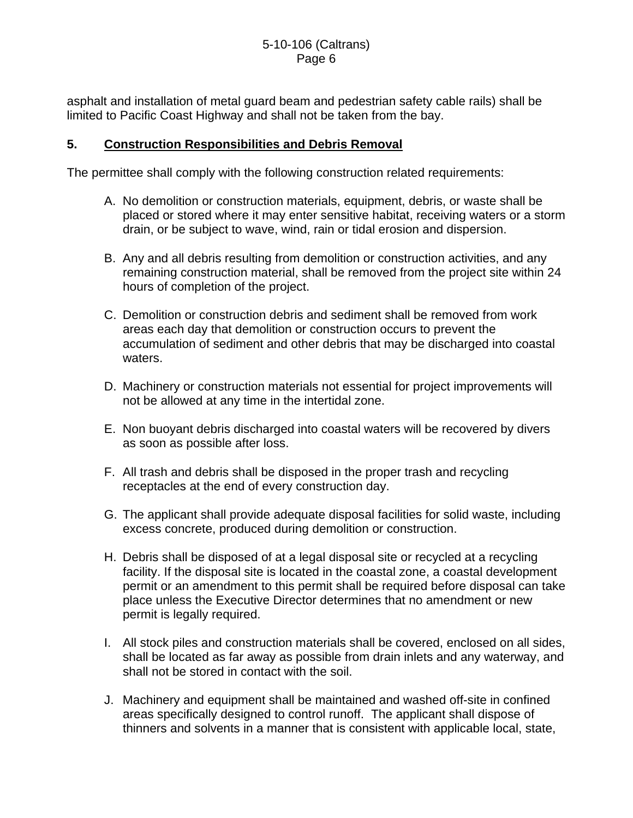asphalt and installation of metal guard beam and pedestrian safety cable rails) shall be limited to Pacific Coast Highway and shall not be taken from the bay.

#### **5. Construction Responsibilities and Debris Removal**

The permittee shall comply with the following construction related requirements:

- A. No demolition or construction materials, equipment, debris, or waste shall be placed or stored where it may enter sensitive habitat, receiving waters or a storm drain, or be subject to wave, wind, rain or tidal erosion and dispersion.
- B. Any and all debris resulting from demolition or construction activities, and any remaining construction material, shall be removed from the project site within 24 hours of completion of the project.
- C. Demolition or construction debris and sediment shall be removed from work areas each day that demolition or construction occurs to prevent the accumulation of sediment and other debris that may be discharged into coastal waters.
- D. Machinery or construction materials not essential for project improvements will not be allowed at any time in the intertidal zone.
- E. Non buoyant debris discharged into coastal waters will be recovered by divers as soon as possible after loss.
- F. All trash and debris shall be disposed in the proper trash and recycling receptacles at the end of every construction day.
- G. The applicant shall provide adequate disposal facilities for solid waste, including excess concrete, produced during demolition or construction.
- H. Debris shall be disposed of at a legal disposal site or recycled at a recycling facility. If the disposal site is located in the coastal zone, a coastal development permit or an amendment to this permit shall be required before disposal can take place unless the Executive Director determines that no amendment or new permit is legally required.
- I. All stock piles and construction materials shall be covered, enclosed on all sides, shall be located as far away as possible from drain inlets and any waterway, and shall not be stored in contact with the soil.
- J. Machinery and equipment shall be maintained and washed off-site in confined areas specifically designed to control runoff. The applicant shall dispose of thinners and solvents in a manner that is consistent with applicable local, state,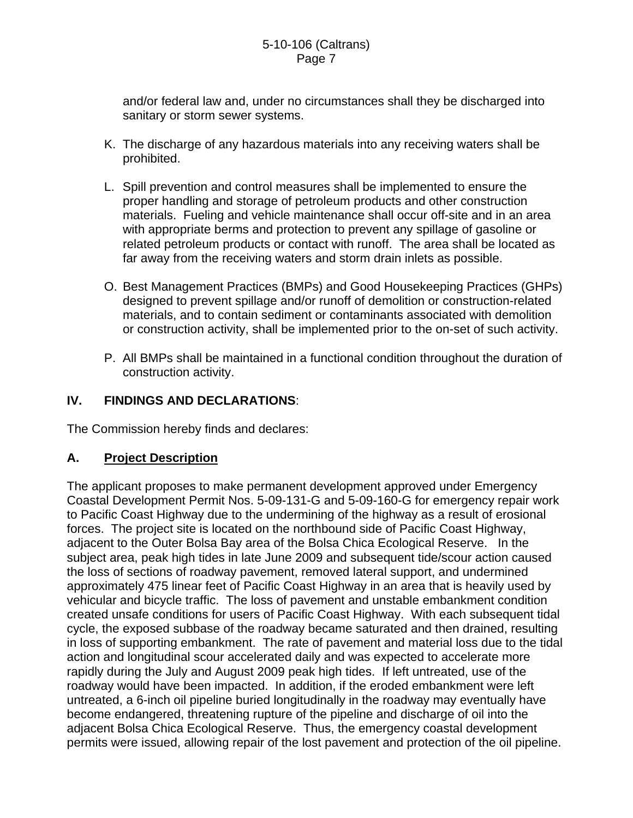and/or federal law and, under no circumstances shall they be discharged into sanitary or storm sewer systems.

- K. The discharge of any hazardous materials into any receiving waters shall be prohibited.
- L. Spill prevention and control measures shall be implemented to ensure the proper handling and storage of petroleum products and other construction materials. Fueling and vehicle maintenance shall occur off-site and in an area with appropriate berms and protection to prevent any spillage of gasoline or related petroleum products or contact with runoff. The area shall be located as far away from the receiving waters and storm drain inlets as possible.
- O. Best Management Practices (BMPs) and Good Housekeeping Practices (GHPs) designed to prevent spillage and/or runoff of demolition or construction-related materials, and to contain sediment or contaminants associated with demolition or construction activity, shall be implemented prior to the on-set of such activity.
- P. All BMPs shall be maintained in a functional condition throughout the duration of construction activity.

## **IV. FINDINGS AND DECLARATIONS**:

The Commission hereby finds and declares:

## **A. Project Description**

The applicant proposes to make permanent development approved under Emergency Coastal Development Permit Nos. 5-09-131-G and 5-09-160-G for emergency repair work to Pacific Coast Highway due to the undermining of the highway as a result of erosional forces. The project site is located on the northbound side of Pacific Coast Highway, adjacent to the Outer Bolsa Bay area of the Bolsa Chica Ecological Reserve. In the subject area, peak high tides in late June 2009 and subsequent tide/scour action caused the loss of sections of roadway pavement, removed lateral support, and undermined approximately 475 linear feet of Pacific Coast Highway in an area that is heavily used by vehicular and bicycle traffic. The loss of pavement and unstable embankment condition created unsafe conditions for users of Pacific Coast Highway. With each subsequent tidal cycle, the exposed subbase of the roadway became saturated and then drained, resulting in loss of supporting embankment. The rate of pavement and material loss due to the tidal action and longitudinal scour accelerated daily and was expected to accelerate more rapidly during the July and August 2009 peak high tides. If left untreated, use of the roadway would have been impacted. In addition, if the eroded embankment were left untreated, a 6-inch oil pipeline buried longitudinally in the roadway may eventually have become endangered, threatening rupture of the pipeline and discharge of oil into the adjacent Bolsa Chica Ecological Reserve. Thus, the emergency coastal development permits were issued, allowing repair of the lost pavement and protection of the oil pipeline.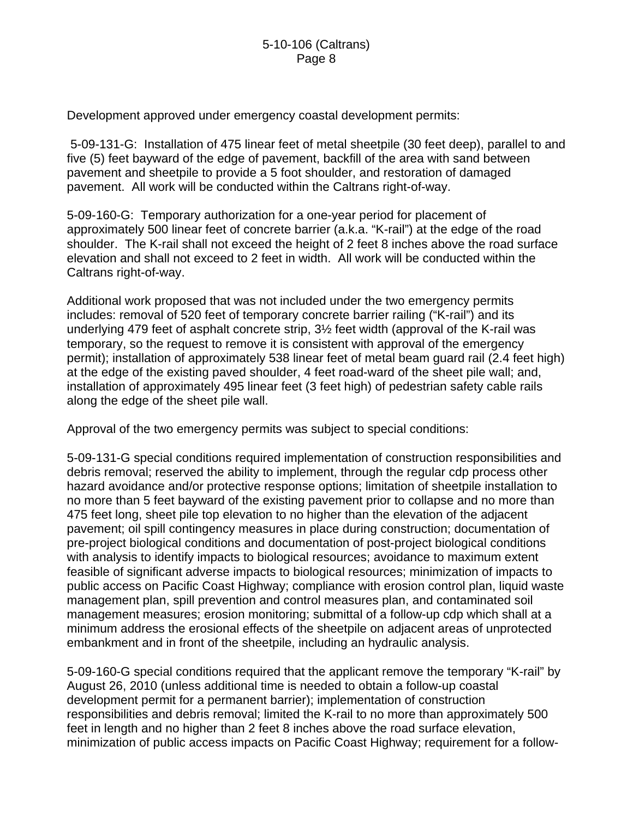Development approved under emergency coastal development permits:

 5-09-131-G: Installation of 475 linear feet of metal sheetpile (30 feet deep), parallel to and five (5) feet bayward of the edge of pavement, backfill of the area with sand between pavement and sheetpile to provide a 5 foot shoulder, and restoration of damaged pavement. All work will be conducted within the Caltrans right-of-way.

5-09-160-G: Temporary authorization for a one-year period for placement of approximately 500 linear feet of concrete barrier (a.k.a. "K-rail") at the edge of the road shoulder. The K-rail shall not exceed the height of 2 feet 8 inches above the road surface elevation and shall not exceed to 2 feet in width. All work will be conducted within the Caltrans right-of-way.

Additional work proposed that was not included under the two emergency permits includes: removal of 520 feet of temporary concrete barrier railing ("K-rail") and its underlying 479 feet of asphalt concrete strip, 3½ feet width (approval of the K-rail was temporary, so the request to remove it is consistent with approval of the emergency permit); installation of approximately 538 linear feet of metal beam guard rail (2.4 feet high) at the edge of the existing paved shoulder, 4 feet road-ward of the sheet pile wall; and, installation of approximately 495 linear feet (3 feet high) of pedestrian safety cable rails along the edge of the sheet pile wall.

Approval of the two emergency permits was subject to special conditions:

5-09-131-G special conditions required implementation of construction responsibilities and debris removal; reserved the ability to implement, through the regular cdp process other hazard avoidance and/or protective response options; limitation of sheetpile installation to no more than 5 feet bayward of the existing pavement prior to collapse and no more than 475 feet long, sheet pile top elevation to no higher than the elevation of the adjacent pavement; oil spill contingency measures in place during construction; documentation of pre-project biological conditions and documentation of post-project biological conditions with analysis to identify impacts to biological resources; avoidance to maximum extent feasible of significant adverse impacts to biological resources; minimization of impacts to public access on Pacific Coast Highway; compliance with erosion control plan, liquid waste management plan, spill prevention and control measures plan, and contaminated soil management measures; erosion monitoring; submittal of a follow-up cdp which shall at a minimum address the erosional effects of the sheetpile on adjacent areas of unprotected embankment and in front of the sheetpile, including an hydraulic analysis.

5-09-160-G special conditions required that the applicant remove the temporary "K-rail" by August 26, 2010 (unless additional time is needed to obtain a follow-up coastal development permit for a permanent barrier); implementation of construction responsibilities and debris removal; limited the K-rail to no more than approximately 500 feet in length and no higher than 2 feet 8 inches above the road surface elevation, minimization of public access impacts on Pacific Coast Highway; requirement for a follow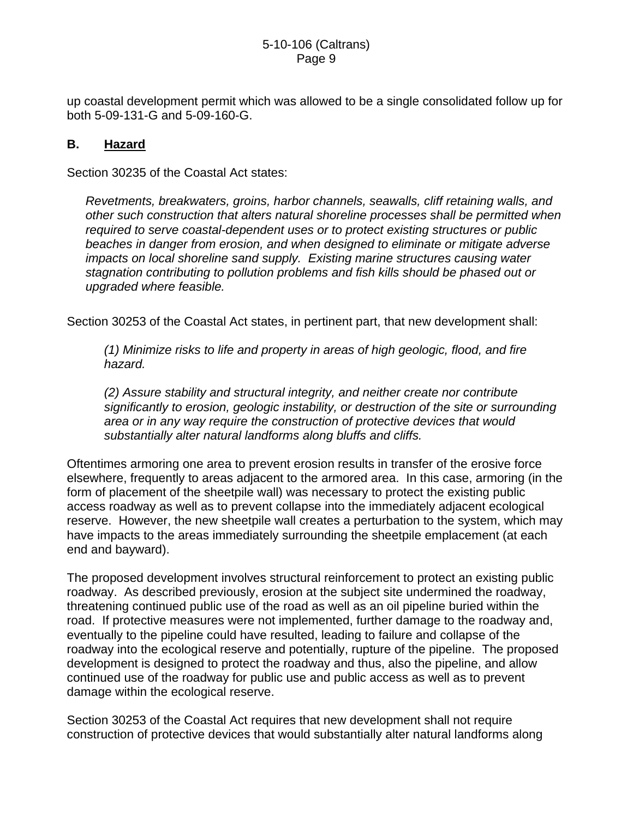up coastal development permit which was allowed to be a single consolidated follow up for both 5-09-131-G and 5-09-160-G.

#### **B. Hazard**

Section 30235 of the Coastal Act states:

*Revetments, breakwaters, groins, harbor channels, seawalls, cliff retaining walls, and other such construction that alters natural shoreline processes shall be permitted when required to serve coastal-dependent uses or to protect existing structures or public beaches in danger from erosion, and when designed to eliminate or mitigate adverse impacts on local shoreline sand supply. Existing marine structures causing water stagnation contributing to pollution problems and fish kills should be phased out or upgraded where feasible.* 

Section 30253 of the Coastal Act states, in pertinent part, that new development shall:

*(1) Minimize risks to life and property in areas of high geologic, flood, and fire hazard.* 

*(2) Assure stability and structural integrity, and neither create nor contribute significantly to erosion, geologic instability, or destruction of the site or surrounding area or in any way require the construction of protective devices that would substantially alter natural landforms along bluffs and cliffs.*

Oftentimes armoring one area to prevent erosion results in transfer of the erosive force elsewhere, frequently to areas adjacent to the armored area. In this case, armoring (in the form of placement of the sheetpile wall) was necessary to protect the existing public access roadway as well as to prevent collapse into the immediately adjacent ecological reserve. However, the new sheetpile wall creates a perturbation to the system, which may have impacts to the areas immediately surrounding the sheetpile emplacement (at each end and bayward).

The proposed development involves structural reinforcement to protect an existing public roadway. As described previously, erosion at the subject site undermined the roadway, threatening continued public use of the road as well as an oil pipeline buried within the road. If protective measures were not implemented, further damage to the roadway and, eventually to the pipeline could have resulted, leading to failure and collapse of the roadway into the ecological reserve and potentially, rupture of the pipeline. The proposed development is designed to protect the roadway and thus, also the pipeline, and allow continued use of the roadway for public use and public access as well as to prevent damage within the ecological reserve.

Section 30253 of the Coastal Act requires that new development shall not require construction of protective devices that would substantially alter natural landforms along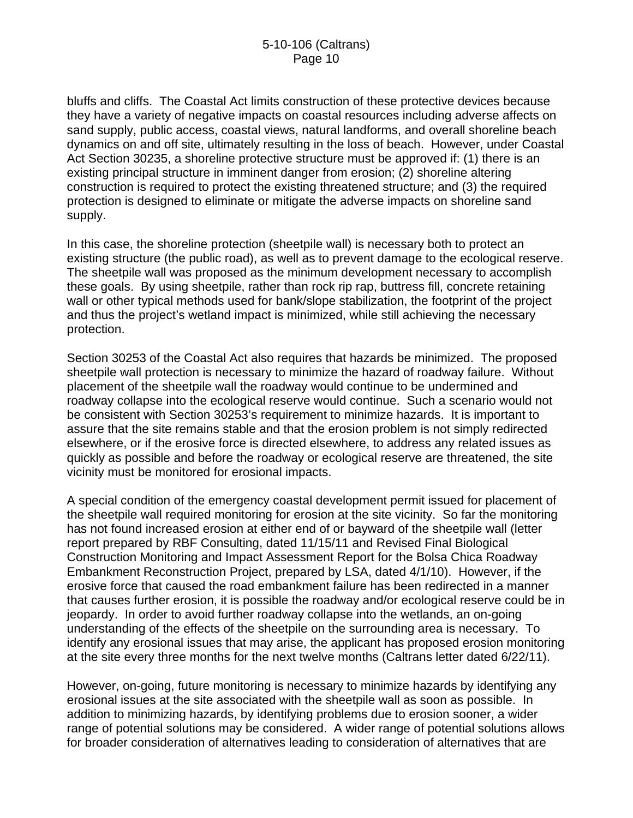bluffs and cliffs. The Coastal Act limits construction of these protective devices because they have a variety of negative impacts on coastal resources including adverse affects on sand supply, public access, coastal views, natural landforms, and overall shoreline beach dynamics on and off site, ultimately resulting in the loss of beach. However, under Coastal Act Section 30235, a shoreline protective structure must be approved if: (1) there is an existing principal structure in imminent danger from erosion; (2) shoreline altering construction is required to protect the existing threatened structure; and (3) the required protection is designed to eliminate or mitigate the adverse impacts on shoreline sand supply.

In this case, the shoreline protection (sheetpile wall) is necessary both to protect an existing structure (the public road), as well as to prevent damage to the ecological reserve. The sheetpile wall was proposed as the minimum development necessary to accomplish these goals. By using sheetpile, rather than rock rip rap, buttress fill, concrete retaining wall or other typical methods used for bank/slope stabilization, the footprint of the project and thus the project's wetland impact is minimized, while still achieving the necessary protection.

Section 30253 of the Coastal Act also requires that hazards be minimized. The proposed sheetpile wall protection is necessary to minimize the hazard of roadway failure. Without placement of the sheetpile wall the roadway would continue to be undermined and roadway collapse into the ecological reserve would continue. Such a scenario would not be consistent with Section 30253's requirement to minimize hazards. It is important to assure that the site remains stable and that the erosion problem is not simply redirected elsewhere, or if the erosive force is directed elsewhere, to address any related issues as quickly as possible and before the roadway or ecological reserve are threatened, the site vicinity must be monitored for erosional impacts.

A special condition of the emergency coastal development permit issued for placement of the sheetpile wall required monitoring for erosion at the site vicinity. So far the monitoring has not found increased erosion at either end of or bayward of the sheetpile wall (letter report prepared by RBF Consulting, dated 11/15/11 and Revised Final Biological Construction Monitoring and Impact Assessment Report for the Bolsa Chica Roadway Embankment Reconstruction Project, prepared by LSA, dated 4/1/10). However, if the erosive force that caused the road embankment failure has been redirected in a manner that causes further erosion, it is possible the roadway and/or ecological reserve could be in jeopardy. In order to avoid further roadway collapse into the wetlands, an on-going understanding of the effects of the sheetpile on the surrounding area is necessary. To identify any erosional issues that may arise, the applicant has proposed erosion monitoring at the site every three months for the next twelve months (Caltrans letter dated 6/22/11).

However, on-going, future monitoring is necessary to minimize hazards by identifying any erosional issues at the site associated with the sheetpile wall as soon as possible. In addition to minimizing hazards, by identifying problems due to erosion sooner, a wider range of potential solutions may be considered. A wider range of potential solutions allows for broader consideration of alternatives leading to consideration of alternatives that are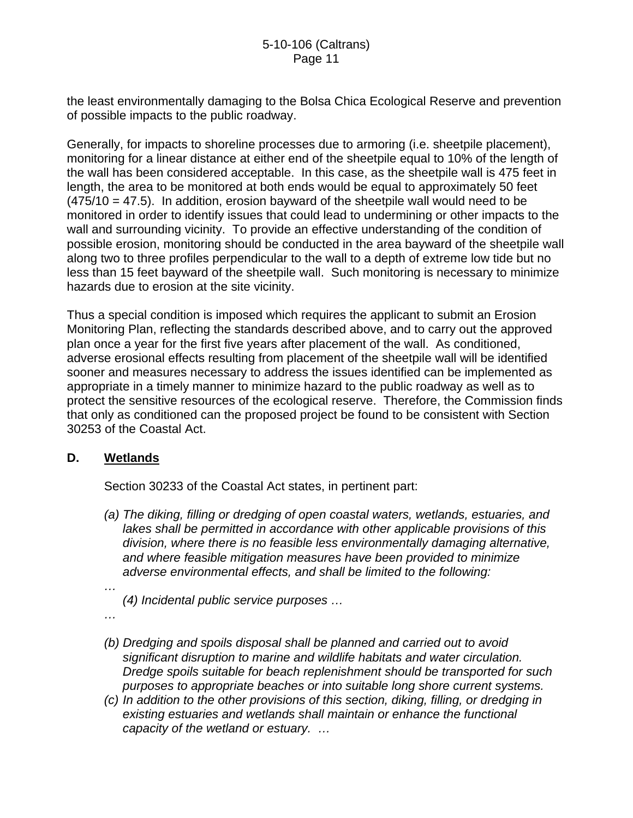the least environmentally damaging to the Bolsa Chica Ecological Reserve and prevention of possible impacts to the public roadway.

Generally, for impacts to shoreline processes due to armoring (i.e. sheetpile placement), monitoring for a linear distance at either end of the sheetpile equal to 10% of the length of the wall has been considered acceptable. In this case, as the sheetpile wall is 475 feet in length, the area to be monitored at both ends would be equal to approximately 50 feet  $(475/10 = 47.5)$ . In addition, erosion bayward of the sheetpile wall would need to be monitored in order to identify issues that could lead to undermining or other impacts to the wall and surrounding vicinity. To provide an effective understanding of the condition of possible erosion, monitoring should be conducted in the area bayward of the sheetpile wall along two to three profiles perpendicular to the wall to a depth of extreme low tide but no less than 15 feet bayward of the sheetpile wall. Such monitoring is necessary to minimize hazards due to erosion at the site vicinity.

Thus a special condition is imposed which requires the applicant to submit an Erosion Monitoring Plan, reflecting the standards described above, and to carry out the approved plan once a year for the first five years after placement of the wall. As conditioned, adverse erosional effects resulting from placement of the sheetpile wall will be identified sooner and measures necessary to address the issues identified can be implemented as appropriate in a timely manner to minimize hazard to the public roadway as well as to protect the sensitive resources of the ecological reserve. Therefore, the Commission finds that only as conditioned can the proposed project be found to be consistent with Section 30253 of the Coastal Act.

#### **D. Wetlands**

Section 30233 of the Coastal Act states, in pertinent part:

- *(a) The diking, filling or dredging of open coastal waters, wetlands, estuaries, and lakes shall be permitted in accordance with other applicable provisions of this division, where there is no feasible less environmentally damaging alternative, and where feasible mitigation measures have been provided to minimize adverse environmental effects, and shall be limited to the following:*
- *… (4) Incidental public service purposes …*
- *…*
- *(b) Dredging and spoils disposal shall be planned and carried out to avoid significant disruption to marine and wildlife habitats and water circulation. Dredge spoils suitable for beach replenishment should be transported for such purposes to appropriate beaches or into suitable long shore current systems.*
- *(c) In addition to the other provisions of this section, diking, filling, or dredging in existing estuaries and wetlands shall maintain or enhance the functional capacity of the wetland or estuary. …*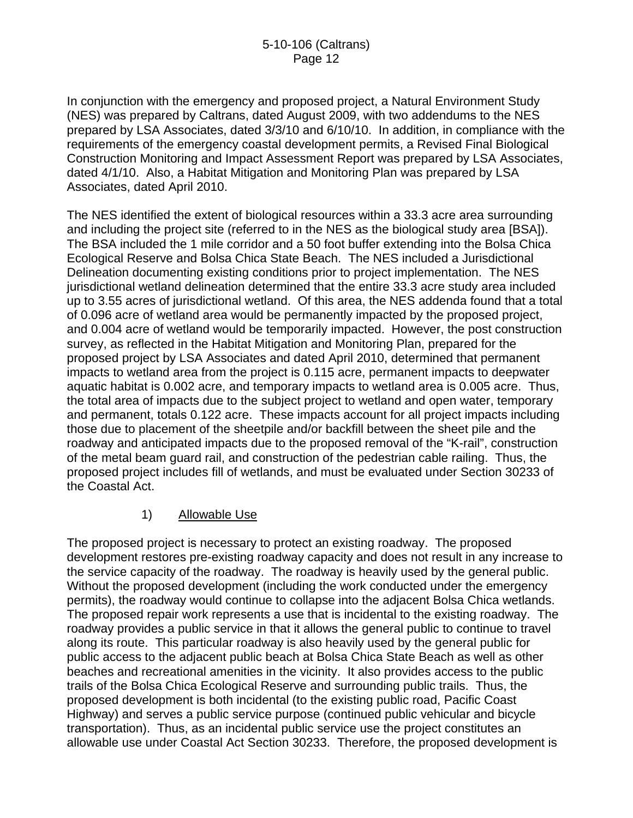In conjunction with the emergency and proposed project, a Natural Environment Study (NES) was prepared by Caltrans, dated August 2009, with two addendums to the NES prepared by LSA Associates, dated 3/3/10 and 6/10/10. In addition, in compliance with the requirements of the emergency coastal development permits, a Revised Final Biological Construction Monitoring and Impact Assessment Report was prepared by LSA Associates, dated 4/1/10. Also, a Habitat Mitigation and Monitoring Plan was prepared by LSA Associates, dated April 2010.

The NES identified the extent of biological resources within a 33.3 acre area surrounding and including the project site (referred to in the NES as the biological study area [BSA]). The BSA included the 1 mile corridor and a 50 foot buffer extending into the Bolsa Chica Ecological Reserve and Bolsa Chica State Beach. The NES included a Jurisdictional Delineation documenting existing conditions prior to project implementation. The NES jurisdictional wetland delineation determined that the entire 33.3 acre study area included up to 3.55 acres of jurisdictional wetland. Of this area, the NES addenda found that a total of 0.096 acre of wetland area would be permanently impacted by the proposed project, and 0.004 acre of wetland would be temporarily impacted. However, the post construction survey, as reflected in the Habitat Mitigation and Monitoring Plan, prepared for the proposed project by LSA Associates and dated April 2010, determined that permanent impacts to wetland area from the project is 0.115 acre, permanent impacts to deepwater aquatic habitat is 0.002 acre, and temporary impacts to wetland area is 0.005 acre. Thus, the total area of impacts due to the subject project to wetland and open water, temporary and permanent, totals 0.122 acre. These impacts account for all project impacts including those due to placement of the sheetpile and/or backfill between the sheet pile and the roadway and anticipated impacts due to the proposed removal of the "K-rail", construction of the metal beam guard rail, and construction of the pedestrian cable railing. Thus, the proposed project includes fill of wetlands, and must be evaluated under Section 30233 of the Coastal Act.

#### 1) Allowable Use

The proposed project is necessary to protect an existing roadway. The proposed development restores pre-existing roadway capacity and does not result in any increase to the service capacity of the roadway. The roadway is heavily used by the general public. Without the proposed development (including the work conducted under the emergency permits), the roadway would continue to collapse into the adjacent Bolsa Chica wetlands. The proposed repair work represents a use that is incidental to the existing roadway. The roadway provides a public service in that it allows the general public to continue to travel along its route. This particular roadway is also heavily used by the general public for public access to the adjacent public beach at Bolsa Chica State Beach as well as other beaches and recreational amenities in the vicinity. It also provides access to the public trails of the Bolsa Chica Ecological Reserve and surrounding public trails. Thus, the proposed development is both incidental (to the existing public road, Pacific Coast Highway) and serves a public service purpose (continued public vehicular and bicycle transportation). Thus, as an incidental public service use the project constitutes an allowable use under Coastal Act Section 30233. Therefore, the proposed development is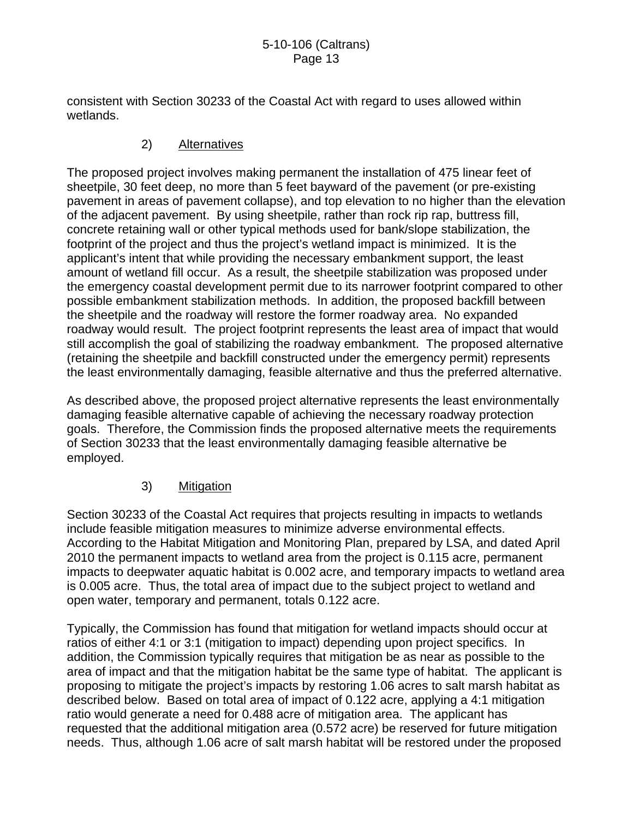consistent with Section 30233 of the Coastal Act with regard to uses allowed within wetlands.

## 2) Alternatives

The proposed project involves making permanent the installation of 475 linear feet of sheetpile, 30 feet deep, no more than 5 feet bayward of the pavement (or pre-existing pavement in areas of pavement collapse), and top elevation to no higher than the elevation of the adjacent pavement. By using sheetpile, rather than rock rip rap, buttress fill, concrete retaining wall or other typical methods used for bank/slope stabilization, the footprint of the project and thus the project's wetland impact is minimized. It is the applicant's intent that while providing the necessary embankment support, the least amount of wetland fill occur. As a result, the sheetpile stabilization was proposed under the emergency coastal development permit due to its narrower footprint compared to other possible embankment stabilization methods. In addition, the proposed backfill between the sheetpile and the roadway will restore the former roadway area. No expanded roadway would result. The project footprint represents the least area of impact that would still accomplish the goal of stabilizing the roadway embankment. The proposed alternative (retaining the sheetpile and backfill constructed under the emergency permit) represents the least environmentally damaging, feasible alternative and thus the preferred alternative.

As described above, the proposed project alternative represents the least environmentally damaging feasible alternative capable of achieving the necessary roadway protection goals. Therefore, the Commission finds the proposed alternative meets the requirements of Section 30233 that the least environmentally damaging feasible alternative be employed.

## 3) Mitigation

Section 30233 of the Coastal Act requires that projects resulting in impacts to wetlands include feasible mitigation measures to minimize adverse environmental effects. According to the Habitat Mitigation and Monitoring Plan, prepared by LSA, and dated April 2010 the permanent impacts to wetland area from the project is 0.115 acre, permanent impacts to deepwater aquatic habitat is 0.002 acre, and temporary impacts to wetland area is 0.005 acre. Thus, the total area of impact due to the subject project to wetland and open water, temporary and permanent, totals 0.122 acre.

Typically, the Commission has found that mitigation for wetland impacts should occur at ratios of either 4:1 or 3:1 (mitigation to impact) depending upon project specifics. In addition, the Commission typically requires that mitigation be as near as possible to the area of impact and that the mitigation habitat be the same type of habitat. The applicant is proposing to mitigate the project's impacts by restoring 1.06 acres to salt marsh habitat as described below. Based on total area of impact of 0.122 acre, applying a 4:1 mitigation ratio would generate a need for 0.488 acre of mitigation area. The applicant has requested that the additional mitigation area (0.572 acre) be reserved for future mitigation needs. Thus, although 1.06 acre of salt marsh habitat will be restored under the proposed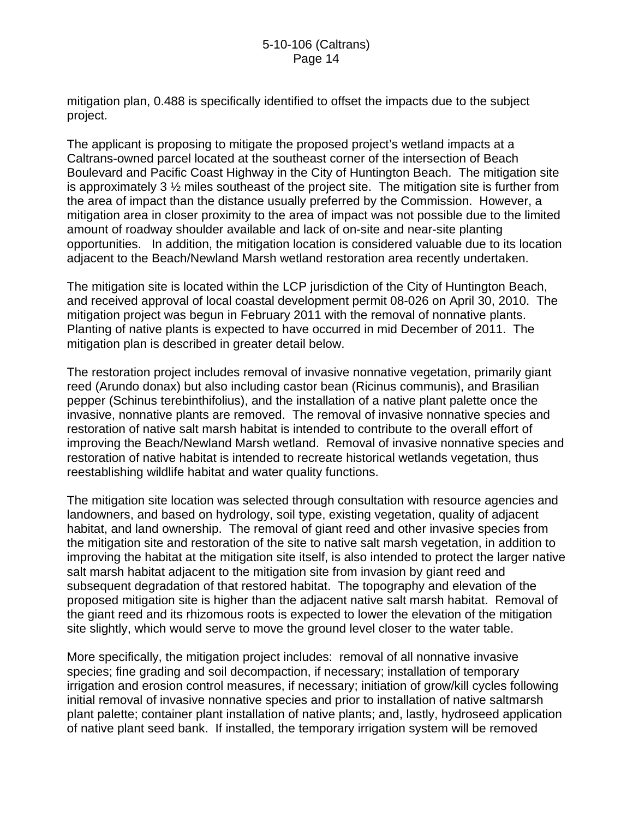mitigation plan, 0.488 is specifically identified to offset the impacts due to the subject project.

The applicant is proposing to mitigate the proposed project's wetland impacts at a Caltrans-owned parcel located at the southeast corner of the intersection of Beach Boulevard and Pacific Coast Highway in the City of Huntington Beach. The mitigation site is approximately 3 ½ miles southeast of the project site. The mitigation site is further from the area of impact than the distance usually preferred by the Commission. However, a mitigation area in closer proximity to the area of impact was not possible due to the limited amount of roadway shoulder available and lack of on-site and near-site planting opportunities. In addition, the mitigation location is considered valuable due to its location adjacent to the Beach/Newland Marsh wetland restoration area recently undertaken.

The mitigation site is located within the LCP jurisdiction of the City of Huntington Beach, and received approval of local coastal development permit 08-026 on April 30, 2010. The mitigation project was begun in February 2011 with the removal of nonnative plants. Planting of native plants is expected to have occurred in mid December of 2011. The mitigation plan is described in greater detail below.

The restoration project includes removal of invasive nonnative vegetation, primarily giant reed (Arundo donax) but also including castor bean (Ricinus communis), and Brasilian pepper (Schinus terebinthifolius), and the installation of a native plant palette once the invasive, nonnative plants are removed. The removal of invasive nonnative species and restoration of native salt marsh habitat is intended to contribute to the overall effort of improving the Beach/Newland Marsh wetland. Removal of invasive nonnative species and restoration of native habitat is intended to recreate historical wetlands vegetation, thus reestablishing wildlife habitat and water quality functions.

The mitigation site location was selected through consultation with resource agencies and landowners, and based on hydrology, soil type, existing vegetation, quality of adjacent habitat, and land ownership. The removal of giant reed and other invasive species from the mitigation site and restoration of the site to native salt marsh vegetation, in addition to improving the habitat at the mitigation site itself, is also intended to protect the larger native salt marsh habitat adjacent to the mitigation site from invasion by giant reed and subsequent degradation of that restored habitat. The topography and elevation of the proposed mitigation site is higher than the adjacent native salt marsh habitat. Removal of the giant reed and its rhizomous roots is expected to lower the elevation of the mitigation site slightly, which would serve to move the ground level closer to the water table.

More specifically, the mitigation project includes: removal of all nonnative invasive species; fine grading and soil decompaction, if necessary; installation of temporary irrigation and erosion control measures, if necessary; initiation of grow/kill cycles following initial removal of invasive nonnative species and prior to installation of native saltmarsh plant palette; container plant installation of native plants; and, lastly, hydroseed application of native plant seed bank. If installed, the temporary irrigation system will be removed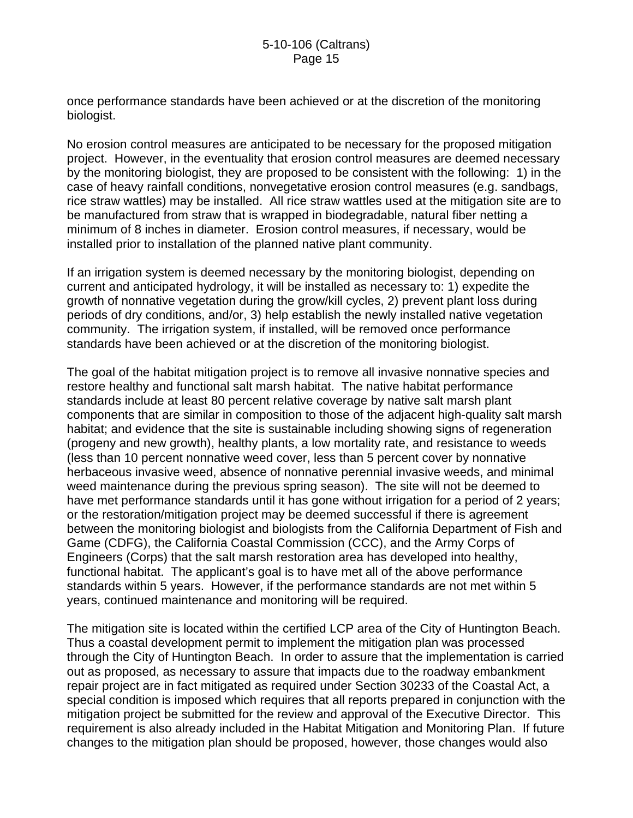once performance standards have been achieved or at the discretion of the monitoring biologist.

No erosion control measures are anticipated to be necessary for the proposed mitigation project. However, in the eventuality that erosion control measures are deemed necessary by the monitoring biologist, they are proposed to be consistent with the following: 1) in the case of heavy rainfall conditions, nonvegetative erosion control measures (e.g. sandbags, rice straw wattles) may be installed. All rice straw wattles used at the mitigation site are to be manufactured from straw that is wrapped in biodegradable, natural fiber netting a minimum of 8 inches in diameter. Erosion control measures, if necessary, would be installed prior to installation of the planned native plant community.

If an irrigation system is deemed necessary by the monitoring biologist, depending on current and anticipated hydrology, it will be installed as necessary to: 1) expedite the growth of nonnative vegetation during the grow/kill cycles, 2) prevent plant loss during periods of dry conditions, and/or, 3) help establish the newly installed native vegetation community. The irrigation system, if installed, will be removed once performance standards have been achieved or at the discretion of the monitoring biologist.

The goal of the habitat mitigation project is to remove all invasive nonnative species and restore healthy and functional salt marsh habitat. The native habitat performance standards include at least 80 percent relative coverage by native salt marsh plant components that are similar in composition to those of the adjacent high-quality salt marsh habitat; and evidence that the site is sustainable including showing signs of regeneration (progeny and new growth), healthy plants, a low mortality rate, and resistance to weeds (less than 10 percent nonnative weed cover, less than 5 percent cover by nonnative herbaceous invasive weed, absence of nonnative perennial invasive weeds, and minimal weed maintenance during the previous spring season). The site will not be deemed to have met performance standards until it has gone without irrigation for a period of 2 years; or the restoration/mitigation project may be deemed successful if there is agreement between the monitoring biologist and biologists from the California Department of Fish and Game (CDFG), the California Coastal Commission (CCC), and the Army Corps of Engineers (Corps) that the salt marsh restoration area has developed into healthy, functional habitat. The applicant's goal is to have met all of the above performance standards within 5 years. However, if the performance standards are not met within 5 years, continued maintenance and monitoring will be required.

The mitigation site is located within the certified LCP area of the City of Huntington Beach. Thus a coastal development permit to implement the mitigation plan was processed through the City of Huntington Beach. In order to assure that the implementation is carried out as proposed, as necessary to assure that impacts due to the roadway embankment repair project are in fact mitigated as required under Section 30233 of the Coastal Act, a special condition is imposed which requires that all reports prepared in conjunction with the mitigation project be submitted for the review and approval of the Executive Director. This requirement is also already included in the Habitat Mitigation and Monitoring Plan. If future changes to the mitigation plan should be proposed, however, those changes would also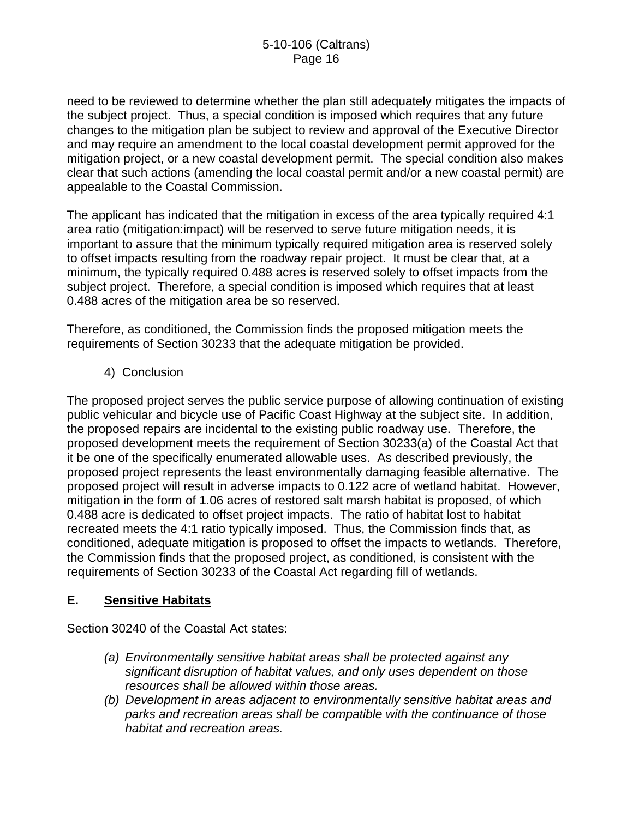need to be reviewed to determine whether the plan still adequately mitigates the impacts of the subject project. Thus, a special condition is imposed which requires that any future changes to the mitigation plan be subject to review and approval of the Executive Director and may require an amendment to the local coastal development permit approved for the mitigation project, or a new coastal development permit. The special condition also makes clear that such actions (amending the local coastal permit and/or a new coastal permit) are appealable to the Coastal Commission.

The applicant has indicated that the mitigation in excess of the area typically required 4:1 area ratio (mitigation:impact) will be reserved to serve future mitigation needs, it is important to assure that the minimum typically required mitigation area is reserved solely to offset impacts resulting from the roadway repair project. It must be clear that, at a minimum, the typically required 0.488 acres is reserved solely to offset impacts from the subject project. Therefore, a special condition is imposed which requires that at least 0.488 acres of the mitigation area be so reserved.

Therefore, as conditioned, the Commission finds the proposed mitigation meets the requirements of Section 30233 that the adequate mitigation be provided.

4) Conclusion

The proposed project serves the public service purpose of allowing continuation of existing public vehicular and bicycle use of Pacific Coast Highway at the subject site. In addition, the proposed repairs are incidental to the existing public roadway use. Therefore, the proposed development meets the requirement of Section 30233(a) of the Coastal Act that it be one of the specifically enumerated allowable uses. As described previously, the proposed project represents the least environmentally damaging feasible alternative. The proposed project will result in adverse impacts to 0.122 acre of wetland habitat. However, mitigation in the form of 1.06 acres of restored salt marsh habitat is proposed, of which 0.488 acre is dedicated to offset project impacts. The ratio of habitat lost to habitat recreated meets the 4:1 ratio typically imposed. Thus, the Commission finds that, as conditioned, adequate mitigation is proposed to offset the impacts to wetlands. Therefore, the Commission finds that the proposed project, as conditioned, is consistent with the requirements of Section 30233 of the Coastal Act regarding fill of wetlands.

## **E. Sensitive Habitats**

Section 30240 of the Coastal Act states:

- *(a) Environmentally sensitive habitat areas shall be protected against any significant disruption of habitat values, and only uses dependent on those resources shall be allowed within those areas.*
- *(b) Development in areas adjacent to environmentally sensitive habitat areas and parks and recreation areas shall be compatible with the continuance of those habitat and recreation areas.*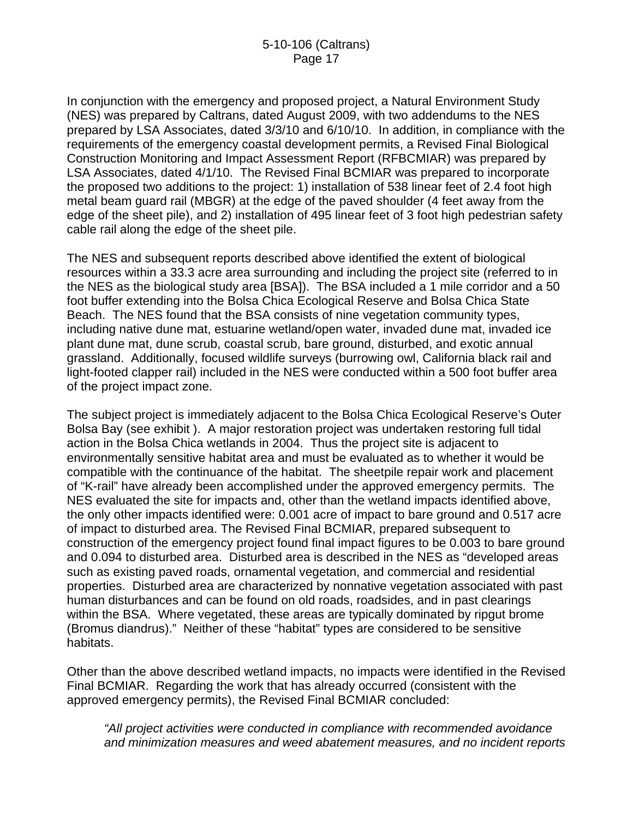In conjunction with the emergency and proposed project, a Natural Environment Study (NES) was prepared by Caltrans, dated August 2009, with two addendums to the NES prepared by LSA Associates, dated 3/3/10 and 6/10/10. In addition, in compliance with the requirements of the emergency coastal development permits, a Revised Final Biological Construction Monitoring and Impact Assessment Report (RFBCMIAR) was prepared by LSA Associates, dated 4/1/10. The Revised Final BCMIAR was prepared to incorporate the proposed two additions to the project: 1) installation of 538 linear feet of 2.4 foot high metal beam guard rail (MBGR) at the edge of the paved shoulder (4 feet away from the edge of the sheet pile), and 2) installation of 495 linear feet of 3 foot high pedestrian safety cable rail along the edge of the sheet pile.

The NES and subsequent reports described above identified the extent of biological resources within a 33.3 acre area surrounding and including the project site (referred to in the NES as the biological study area [BSA]). The BSA included a 1 mile corridor and a 50 foot buffer extending into the Bolsa Chica Ecological Reserve and Bolsa Chica State Beach. The NES found that the BSA consists of nine vegetation community types, including native dune mat, estuarine wetland/open water, invaded dune mat, invaded ice plant dune mat, dune scrub, coastal scrub, bare ground, disturbed, and exotic annual grassland. Additionally, focused wildlife surveys (burrowing owl, California black rail and light-footed clapper rail) included in the NES were conducted within a 500 foot buffer area of the project impact zone.

The subject project is immediately adjacent to the Bolsa Chica Ecological Reserve's Outer Bolsa Bay (see exhibit ). A major restoration project was undertaken restoring full tidal action in the Bolsa Chica wetlands in 2004. Thus the project site is adjacent to environmentally sensitive habitat area and must be evaluated as to whether it would be compatible with the continuance of the habitat. The sheetpile repair work and placement of "K-rail" have already been accomplished under the approved emergency permits. The NES evaluated the site for impacts and, other than the wetland impacts identified above, the only other impacts identified were: 0.001 acre of impact to bare ground and 0.517 acre of impact to disturbed area. The Revised Final BCMIAR, prepared subsequent to construction of the emergency project found final impact figures to be 0.003 to bare ground and 0.094 to disturbed area. Disturbed area is described in the NES as "developed areas such as existing paved roads, ornamental vegetation, and commercial and residential properties. Disturbed area are characterized by nonnative vegetation associated with past human disturbances and can be found on old roads, roadsides, and in past clearings within the BSA. Where vegetated, these areas are typically dominated by ripgut brome (Bromus diandrus)." Neither of these "habitat" types are considered to be sensitive habitats.

Other than the above described wetland impacts, no impacts were identified in the Revised Final BCMIAR. Regarding the work that has already occurred (consistent with the approved emergency permits), the Revised Final BCMIAR concluded:

*"All project activities were conducted in compliance with recommended avoidance and minimization measures and weed abatement measures, and no incident reports*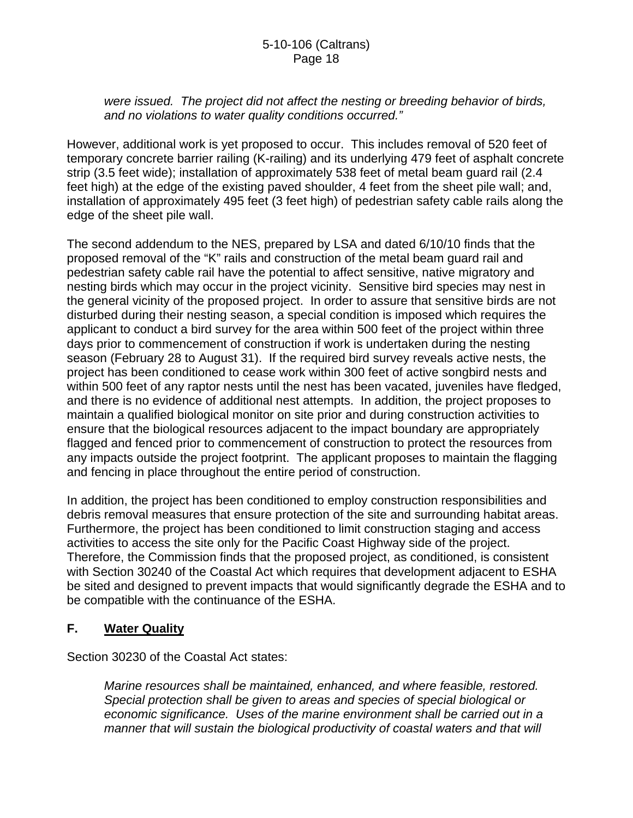*were issued. The project did not affect the nesting or breeding behavior of birds, and no violations to water quality conditions occurred."* 

However, additional work is yet proposed to occur. This includes removal of 520 feet of temporary concrete barrier railing (K-railing) and its underlying 479 feet of asphalt concrete strip (3.5 feet wide); installation of approximately 538 feet of metal beam guard rail (2.4 feet high) at the edge of the existing paved shoulder, 4 feet from the sheet pile wall; and, installation of approximately 495 feet (3 feet high) of pedestrian safety cable rails along the edge of the sheet pile wall.

The second addendum to the NES, prepared by LSA and dated 6/10/10 finds that the proposed removal of the "K" rails and construction of the metal beam guard rail and pedestrian safety cable rail have the potential to affect sensitive, native migratory and nesting birds which may occur in the project vicinity. Sensitive bird species may nest in the general vicinity of the proposed project. In order to assure that sensitive birds are not disturbed during their nesting season, a special condition is imposed which requires the applicant to conduct a bird survey for the area within 500 feet of the project within three days prior to commencement of construction if work is undertaken during the nesting season (February 28 to August 31). If the required bird survey reveals active nests, the project has been conditioned to cease work within 300 feet of active songbird nests and within 500 feet of any raptor nests until the nest has been vacated, juveniles have fledged, and there is no evidence of additional nest attempts. In addition, the project proposes to maintain a qualified biological monitor on site prior and during construction activities to ensure that the biological resources adjacent to the impact boundary are appropriately flagged and fenced prior to commencement of construction to protect the resources from any impacts outside the project footprint. The applicant proposes to maintain the flagging and fencing in place throughout the entire period of construction.

In addition, the project has been conditioned to employ construction responsibilities and debris removal measures that ensure protection of the site and surrounding habitat areas. Furthermore, the project has been conditioned to limit construction staging and access activities to access the site only for the Pacific Coast Highway side of the project. Therefore, the Commission finds that the proposed project, as conditioned, is consistent with Section 30240 of the Coastal Act which requires that development adjacent to ESHA be sited and designed to prevent impacts that would significantly degrade the ESHA and to be compatible with the continuance of the ESHA.

#### **F. Water Quality**

Section 30230 of the Coastal Act states:

*Marine resources shall be maintained, enhanced, and where feasible, restored. Special protection shall be given to areas and species of special biological or economic significance. Uses of the marine environment shall be carried out in a manner that will sustain the biological productivity of coastal waters and that will*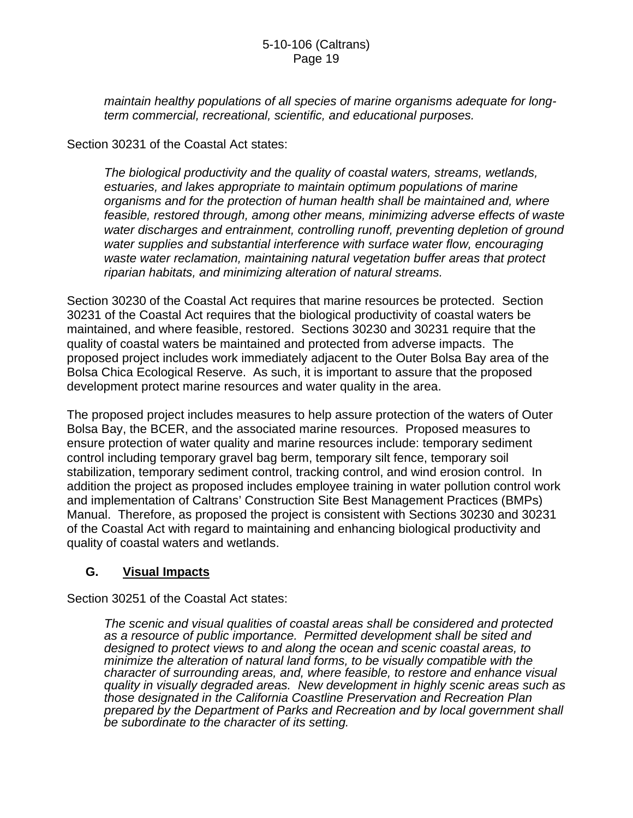*maintain healthy populations of all species of marine organisms adequate for longterm commercial, recreational, scientific, and educational purposes.* 

Section 30231 of the Coastal Act states:

*The biological productivity and the quality of coastal waters, streams, wetlands, estuaries, and lakes appropriate to maintain optimum populations of marine organisms and for the protection of human health shall be maintained and, where*  feasible, restored through, among other means, minimizing adverse effects of waste water discharges and entrainment, controlling runoff, preventing depletion of ground water supplies and substantial interference with surface water flow, encouraging *waste water reclamation, maintaining natural vegetation buffer areas that protect riparian habitats, and minimizing alteration of natural streams.* 

Section 30230 of the Coastal Act requires that marine resources be protected. Section 30231 of the Coastal Act requires that the biological productivity of coastal waters be maintained, and where feasible, restored. Sections 30230 and 30231 require that the quality of coastal waters be maintained and protected from adverse impacts. The proposed project includes work immediately adjacent to the Outer Bolsa Bay area of the Bolsa Chica Ecological Reserve. As such, it is important to assure that the proposed development protect marine resources and water quality in the area.

The proposed project includes measures to help assure protection of the waters of Outer Bolsa Bay, the BCER, and the associated marine resources. Proposed measures to ensure protection of water quality and marine resources include: temporary sediment control including temporary gravel bag berm, temporary silt fence, temporary soil stabilization, temporary sediment control, tracking control, and wind erosion control. In addition the project as proposed includes employee training in water pollution control work and implementation of Caltrans' Construction Site Best Management Practices (BMPs) Manual. Therefore, as proposed the project is consistent with Sections 30230 and 30231 of the Coastal Act with regard to maintaining and enhancing biological productivity and quality of coastal waters and wetlands.

#### **G. Visual Impacts**

Section 30251 of the Coastal Act states:

*The scenic and visual qualities of coastal areas shall be considered and protected as a resource of public importance. Permitted development shall be sited and designed to protect views to and along the ocean and scenic coastal areas, to minimize the alteration of natural land forms, to be visually compatible with the character of surrounding areas, and, where feasible, to restore and enhance visual quality in visually degraded areas. New development in highly scenic areas such as those designated in the California Coastline Preservation and Recreation Plan prepared by the Department of Parks and Recreation and by local government shall be subordinate to the character of its setting.*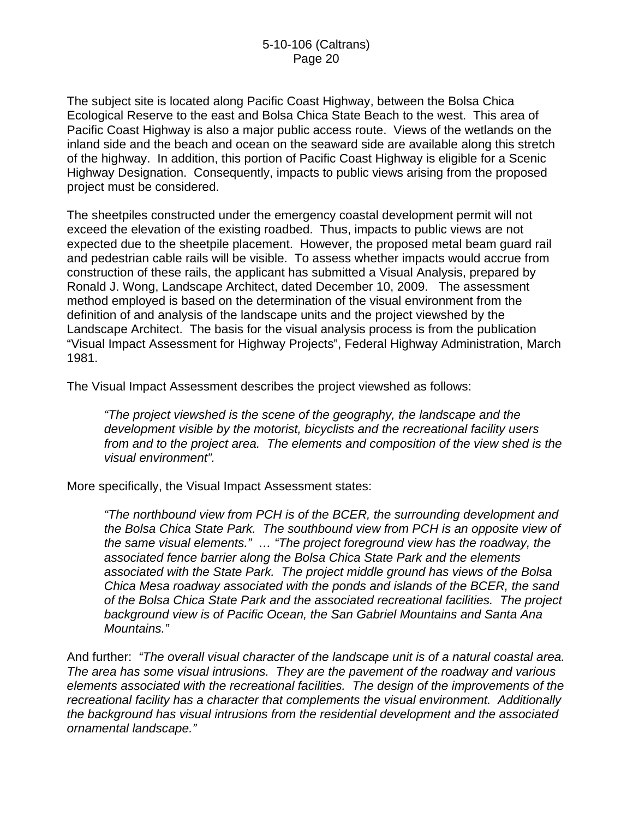The subject site is located along Pacific Coast Highway, between the Bolsa Chica Ecological Reserve to the east and Bolsa Chica State Beach to the west. This area of Pacific Coast Highway is also a major public access route. Views of the wetlands on the inland side and the beach and ocean on the seaward side are available along this stretch of the highway. In addition, this portion of Pacific Coast Highway is eligible for a Scenic Highway Designation. Consequently, impacts to public views arising from the proposed project must be considered.

The sheetpiles constructed under the emergency coastal development permit will not exceed the elevation of the existing roadbed. Thus, impacts to public views are not expected due to the sheetpile placement. However, the proposed metal beam guard rail and pedestrian cable rails will be visible. To assess whether impacts would accrue from construction of these rails, the applicant has submitted a Visual Analysis, prepared by Ronald J. Wong, Landscape Architect, dated December 10, 2009. The assessment method employed is based on the determination of the visual environment from the definition of and analysis of the landscape units and the project viewshed by the Landscape Architect. The basis for the visual analysis process is from the publication "Visual Impact Assessment for Highway Projects", Federal Highway Administration, March 1981.

The Visual Impact Assessment describes the project viewshed as follows:

*"The project viewshed is the scene of the geography, the landscape and the development visible by the motorist, bicyclists and the recreational facility users from and to the project area. The elements and composition of the view shed is the visual environment".* 

More specifically, the Visual Impact Assessment states:

*"The northbound view from PCH is of the BCER, the surrounding development and the Bolsa Chica State Park. The southbound view from PCH is an opposite view of the same visual elements." … "The project foreground view has the roadway, the associated fence barrier along the Bolsa Chica State Park and the elements associated with the State Park. The project middle ground has views of the Bolsa Chica Mesa roadway associated with the ponds and islands of the BCER, the sand of the Bolsa Chica State Park and the associated recreational facilities. The project background view is of Pacific Ocean, the San Gabriel Mountains and Santa Ana Mountains."* 

And further: *"The overall visual character of the landscape unit is of a natural coastal area. The area has some visual intrusions. They are the pavement of the roadway and various elements associated with the recreational facilities. The design of the improvements of the recreational facility has a character that complements the visual environment. Additionally the background has visual intrusions from the residential development and the associated ornamental landscape."*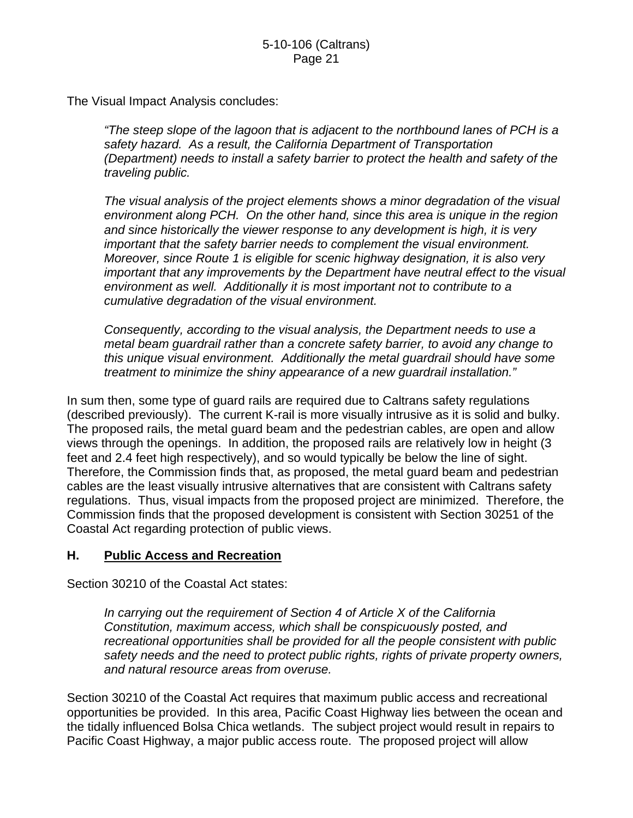The Visual Impact Analysis concludes:

*"The steep slope of the lagoon that is adjacent to the northbound lanes of PCH is a safety hazard. As a result, the California Department of Transportation (Department) needs to install a safety barrier to protect the health and safety of the traveling public.* 

*The visual analysis of the project elements shows a minor degradation of the visual environment along PCH. On the other hand, since this area is unique in the region and since historically the viewer response to any development is high, it is very important that the safety barrier needs to complement the visual environment. Moreover, since Route 1 is eligible for scenic highway designation, it is also very important that any improvements by the Department have neutral effect to the visual environment as well. Additionally it is most important not to contribute to a cumulative degradation of the visual environment.* 

*Consequently, according to the visual analysis, the Department needs to use a metal beam guardrail rather than a concrete safety barrier, to avoid any change to this unique visual environment. Additionally the metal guardrail should have some treatment to minimize the shiny appearance of a new guardrail installation."*

In sum then, some type of guard rails are required due to Caltrans safety regulations (described previously). The current K-rail is more visually intrusive as it is solid and bulky. The proposed rails, the metal guard beam and the pedestrian cables, are open and allow views through the openings. In addition, the proposed rails are relatively low in height (3 feet and 2.4 feet high respectively), and so would typically be below the line of sight. Therefore, the Commission finds that, as proposed, the metal guard beam and pedestrian cables are the least visually intrusive alternatives that are consistent with Caltrans safety regulations. Thus, visual impacts from the proposed project are minimized. Therefore, the Commission finds that the proposed development is consistent with Section 30251 of the Coastal Act regarding protection of public views.

## **H. Public Access and Recreation**

Section 30210 of the Coastal Act states:

*In carrying out the requirement of Section 4 of Article X of the California Constitution, maximum access, which shall be conspicuously posted, and recreational opportunities shall be provided for all the people consistent with public safety needs and the need to protect public rights, rights of private property owners, and natural resource areas from overuse.* 

Section 30210 of the Coastal Act requires that maximum public access and recreational opportunities be provided. In this area, Pacific Coast Highway lies between the ocean and the tidally influenced Bolsa Chica wetlands. The subject project would result in repairs to Pacific Coast Highway, a major public access route. The proposed project will allow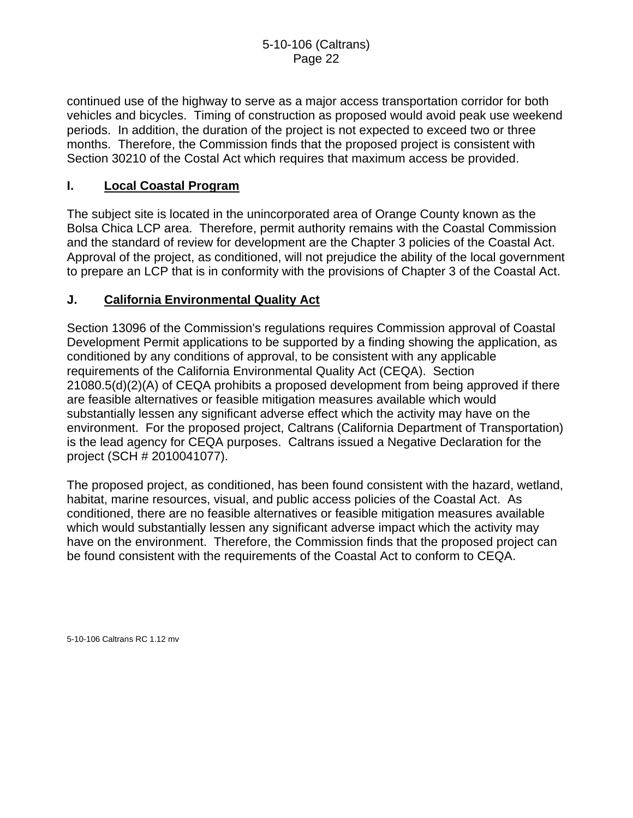continued use of the highway to serve as a major access transportation corridor for both vehicles and bicycles. Timing of construction as proposed would avoid peak use weekend periods. In addition, the duration of the project is not expected to exceed two or three months. Therefore, the Commission finds that the proposed project is consistent with Section 30210 of the Costal Act which requires that maximum access be provided.

## **I. Local Coastal Program**

The subject site is located in the unincorporated area of Orange County known as the Bolsa Chica LCP area. Therefore, permit authority remains with the Coastal Commission and the standard of review for development are the Chapter 3 policies of the Coastal Act. Approval of the project, as conditioned, will not prejudice the ability of the local government to prepare an LCP that is in conformity with the provisions of Chapter 3 of the Coastal Act.

#### **J. California Environmental Quality Act**

Section 13096 of the Commission's regulations requires Commission approval of Coastal Development Permit applications to be supported by a finding showing the application, as conditioned by any conditions of approval, to be consistent with any applicable requirements of the California Environmental Quality Act (CEQA). Section 21080.5(d)(2)(A) of CEQA prohibits a proposed development from being approved if there are feasible alternatives or feasible mitigation measures available which would substantially lessen any significant adverse effect which the activity may have on the environment. For the proposed project, Caltrans (California Department of Transportation) is the lead agency for CEQA purposes. Caltrans issued a Negative Declaration for the project (SCH # 2010041077).

The proposed project, as conditioned, has been found consistent with the hazard, wetland, habitat, marine resources, visual, and public access policies of the Coastal Act. As conditioned, there are no feasible alternatives or feasible mitigation measures available which would substantially lessen any significant adverse impact which the activity may have on the environment. Therefore, the Commission finds that the proposed project can be found consistent with the requirements of the Coastal Act to conform to CEQA.

5-10-106 Caltrans RC 1.12 mv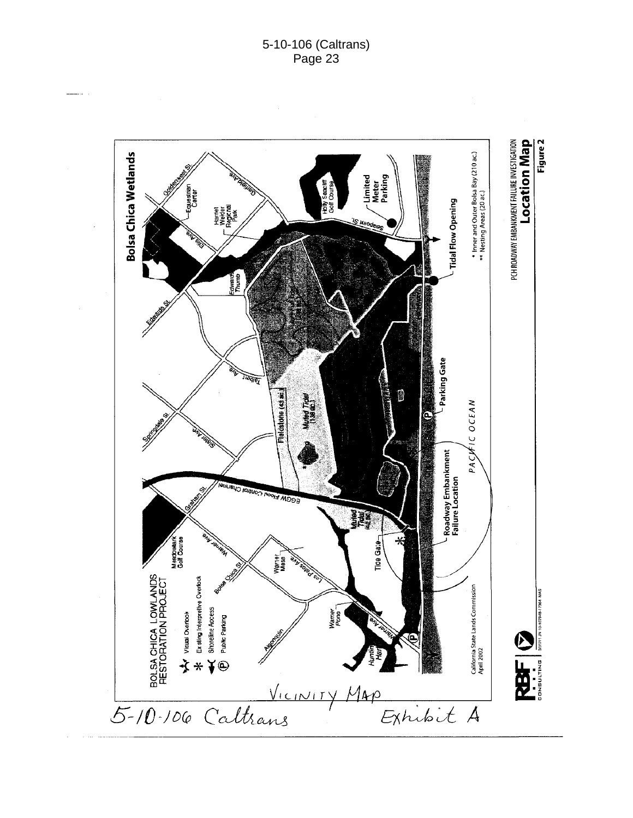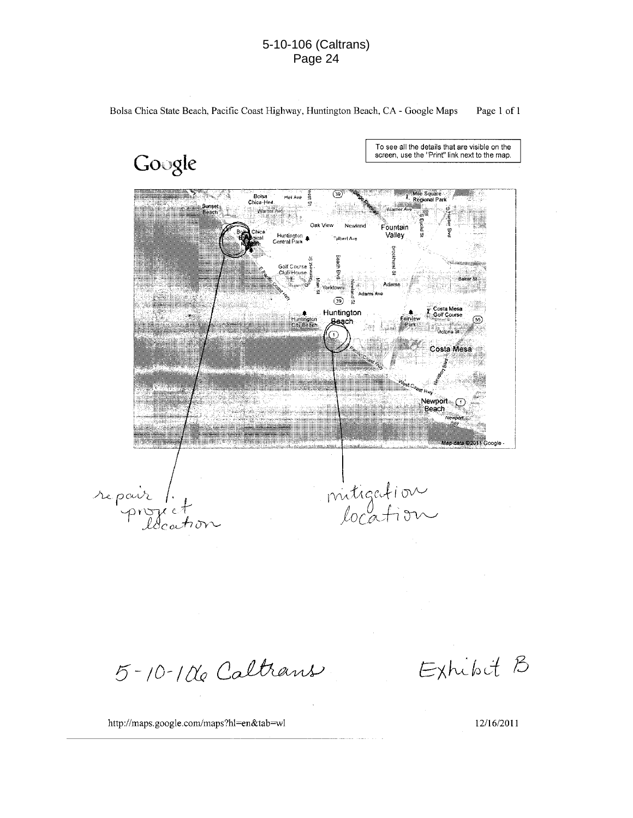#### 5-10-106 (Caltrans) Page 24

Bolsa Chica State Beach, Pacific Coast Highway, Huntington Beach, CA - Google Maps Page 1 of 1

Google

To see all the details that are visible on the screen, use the "Print" link next to the map.



 $5 - 10 - 106$  Caltrans

Exhibit B

http://maps.google.com/maps?hl=en&tab=wl

12/16/2011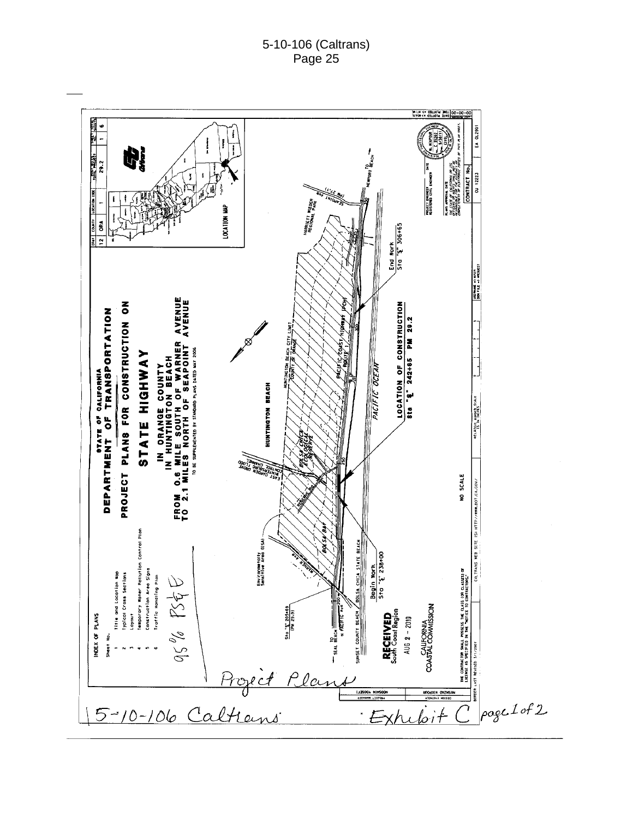